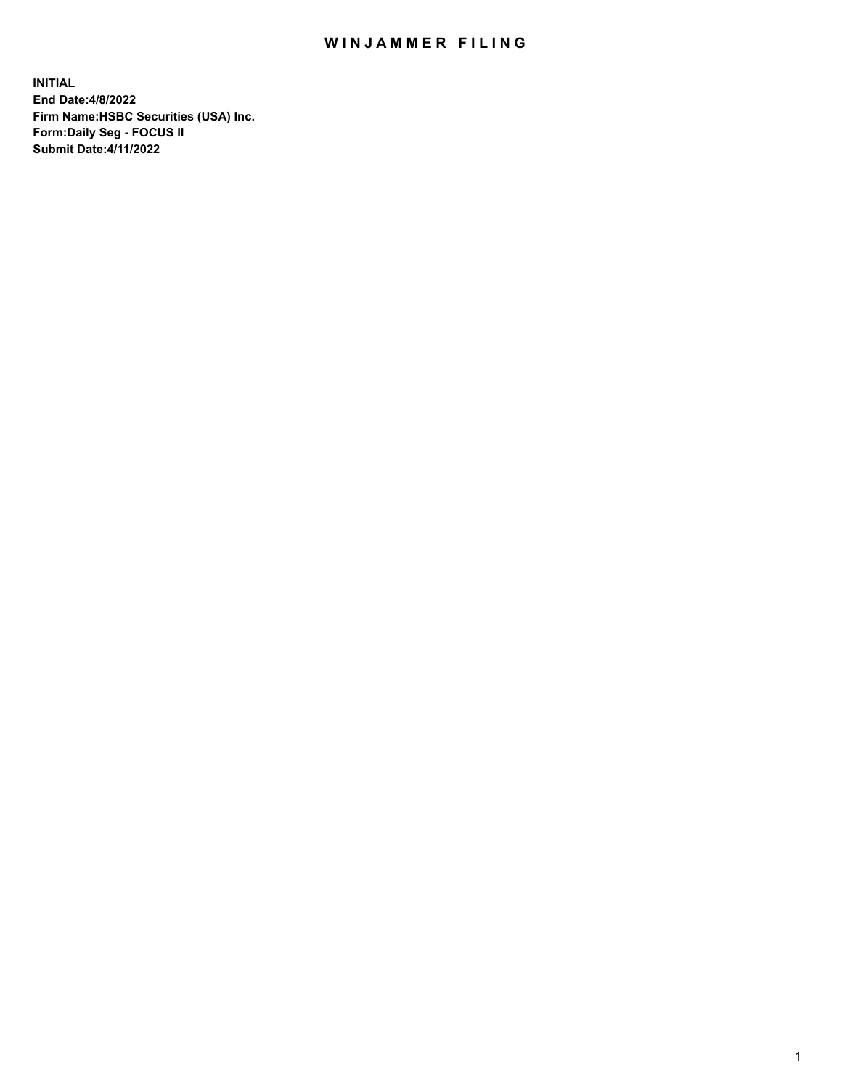## WIN JAMMER FILING

**INITIAL End Date:4/8/2022 Firm Name:HSBC Securities (USA) Inc. Form:Daily Seg - FOCUS II Submit Date:4/11/2022**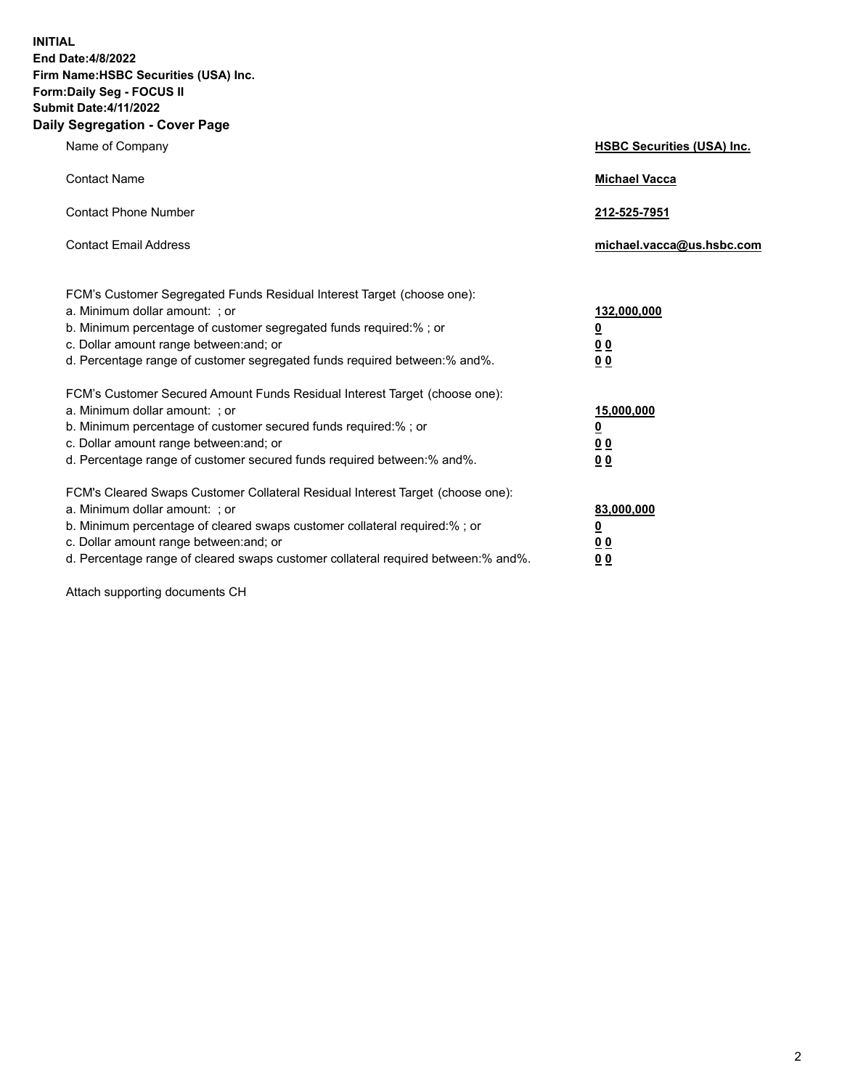**INITIAL End Date:4/8/2022 Firm Name:HSBC Securities (USA) Inc. Form:Daily Seg - FOCUS II Submit Date:4/11/2022 Daily Segregation - Cover Page**

| Name of Company                                                                                                                                                                                                                                                                                                                | <b>HSBC Securities (USA) Inc.</b>                                          |
|--------------------------------------------------------------------------------------------------------------------------------------------------------------------------------------------------------------------------------------------------------------------------------------------------------------------------------|----------------------------------------------------------------------------|
| <b>Contact Name</b>                                                                                                                                                                                                                                                                                                            | <b>Michael Vacca</b>                                                       |
| <b>Contact Phone Number</b>                                                                                                                                                                                                                                                                                                    | 212-525-7951                                                               |
| <b>Contact Email Address</b>                                                                                                                                                                                                                                                                                                   | michael.vacca@us.hsbc.com                                                  |
| FCM's Customer Segregated Funds Residual Interest Target (choose one):<br>a. Minimum dollar amount: ; or<br>b. Minimum percentage of customer segregated funds required:% ; or<br>c. Dollar amount range between: and; or<br>d. Percentage range of customer segregated funds required between:% and%.                         | 132,000,000<br>$\overline{\mathbf{0}}$<br>0 <sub>0</sub><br>0 <sub>0</sub> |
| FCM's Customer Secured Amount Funds Residual Interest Target (choose one):<br>a. Minimum dollar amount: ; or<br>b. Minimum percentage of customer secured funds required:% ; or<br>c. Dollar amount range between: and; or<br>d. Percentage range of customer secured funds required between: % and %.                         | 15,000,000<br><u>0</u><br>0 <sub>0</sub><br>0 <sub>0</sub>                 |
| FCM's Cleared Swaps Customer Collateral Residual Interest Target (choose one):<br>a. Minimum dollar amount: ; or<br>b. Minimum percentage of cleared swaps customer collateral required:% ; or<br>c. Dollar amount range between: and; or<br>d. Percentage range of cleared swaps customer collateral required between:% and%. | 83,000,000<br><u>0</u><br>00<br>00                                         |

Attach supporting documents CH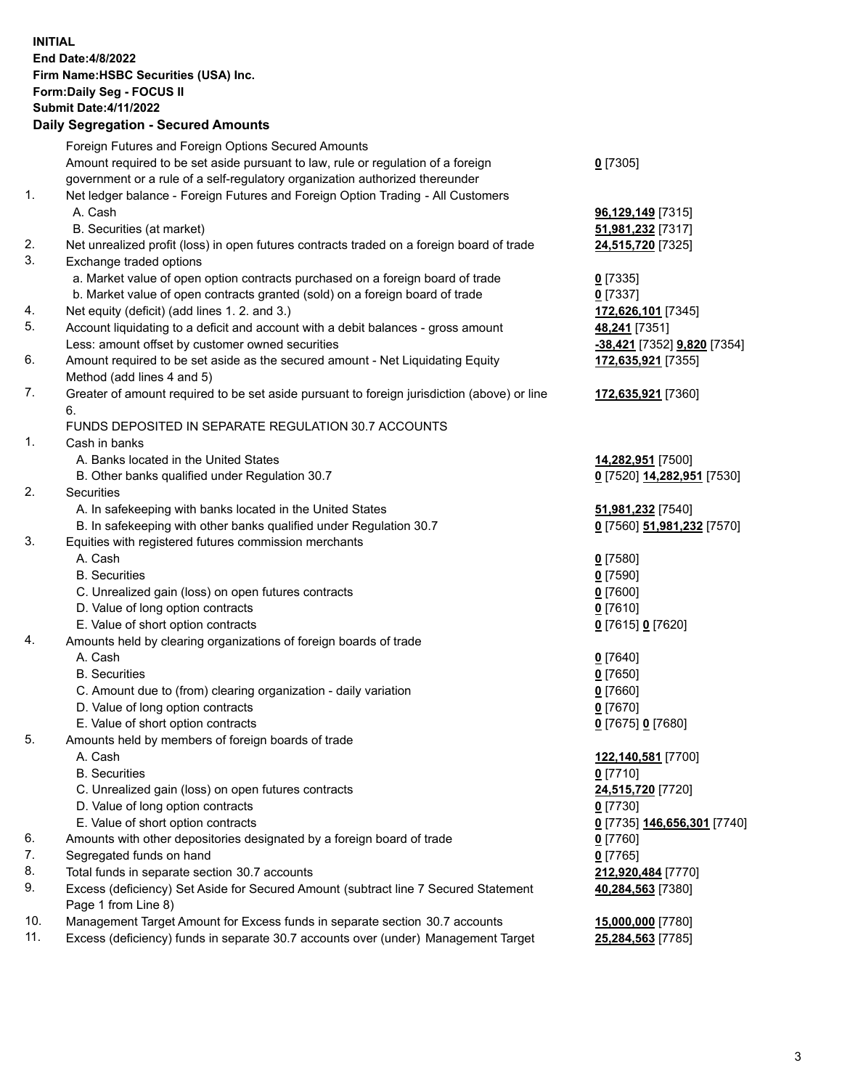**INITIAL End Date:4/8/2022 Firm Name:HSBC Securities (USA) Inc. Form:Daily Seg - FOCUS II Submit Date:4/11/2022 Daily Segregation - Secured Amounts**

Foreign Futures and Foreign Options Secured Amounts Amount required to be set aside pursuant to law, rule or regulation of a foreign government or a rule of a self-regulatory organization authorized thereunder **0** [7305] 1. Net ledger balance - Foreign Futures and Foreign Option Trading - All Customers A. Cash **96,129,149** [7315] B. Securities (at market) **51,981,232** [7317] 2. Net unrealized profit (loss) in open futures contracts traded on a foreign board of trade **24,515,720** [7325] 3. Exchange traded options a. Market value of open option contracts purchased on a foreign board of trade **0** [7335] b. Market value of open contracts granted (sold) on a foreign board of trade **0** [7337] 4. Net equity (deficit) (add lines 1. 2. and 3.) **172,626,101** [7345] 5. Account liquidating to a deficit and account with a debit balances - gross amount **48,241** [7351] Less: amount offset by customer owned securities **-38,421** [7352] **9,820** [7354] 6. Amount required to be set aside as the secured amount - Net Liquidating Equity Method (add lines 4 and 5) **172,635,921** [7355] 7. Greater of amount required to be set aside pursuant to foreign jurisdiction (above) or line 6. **172,635,921** [7360] FUNDS DEPOSITED IN SEPARATE REGULATION 30.7 ACCOUNTS 1. Cash in banks A. Banks located in the United States **14,282,951** [7500] B. Other banks qualified under Regulation 30.7 **0** [7520] **14,282,951** [7530] 2. Securities A. In safekeeping with banks located in the United States **51,981,232** [7540] B. In safekeeping with other banks qualified under Regulation 30.7 **0** [7560] **51,981,232** [7570] 3. Equities with registered futures commission merchants A. Cash **0** [7580] B. Securities **0** [7590] C. Unrealized gain (loss) on open futures contracts **0** [7600] D. Value of long option contracts **0** [7610] E. Value of short option contracts **0** [7615] **0** [7620] 4. Amounts held by clearing organizations of foreign boards of trade A. Cash **0** [7640] B. Securities **0** [7650] C. Amount due to (from) clearing organization - daily variation **0** [7660] D. Value of long option contracts **0** [7670] E. Value of short option contracts **0** [7675] **0** [7680] 5. Amounts held by members of foreign boards of trade A. Cash **122,140,581** [7700] B. Securities **0** [7710] C. Unrealized gain (loss) on open futures contracts **24,515,720** [7720] D. Value of long option contracts **0** [7730] E. Value of short option contracts **0** [7735] **146,656,301** [7740] 6. Amounts with other depositories designated by a foreign board of trade **0** [7760] 7. Segregated funds on hand **0** [7765] 8. Total funds in separate section 30.7 accounts **212,920,484** [7770] 9. Excess (deficiency) Set Aside for Secured Amount (subtract line 7 Secured Statement Page 1 from Line 8) **40,284,563** [7380] 10. Management Target Amount for Excess funds in separate section 30.7 accounts **15,000,000** [7780] 11. Excess (deficiency) funds in separate 30.7 accounts over (under) Management Target **25,284,563** [7785]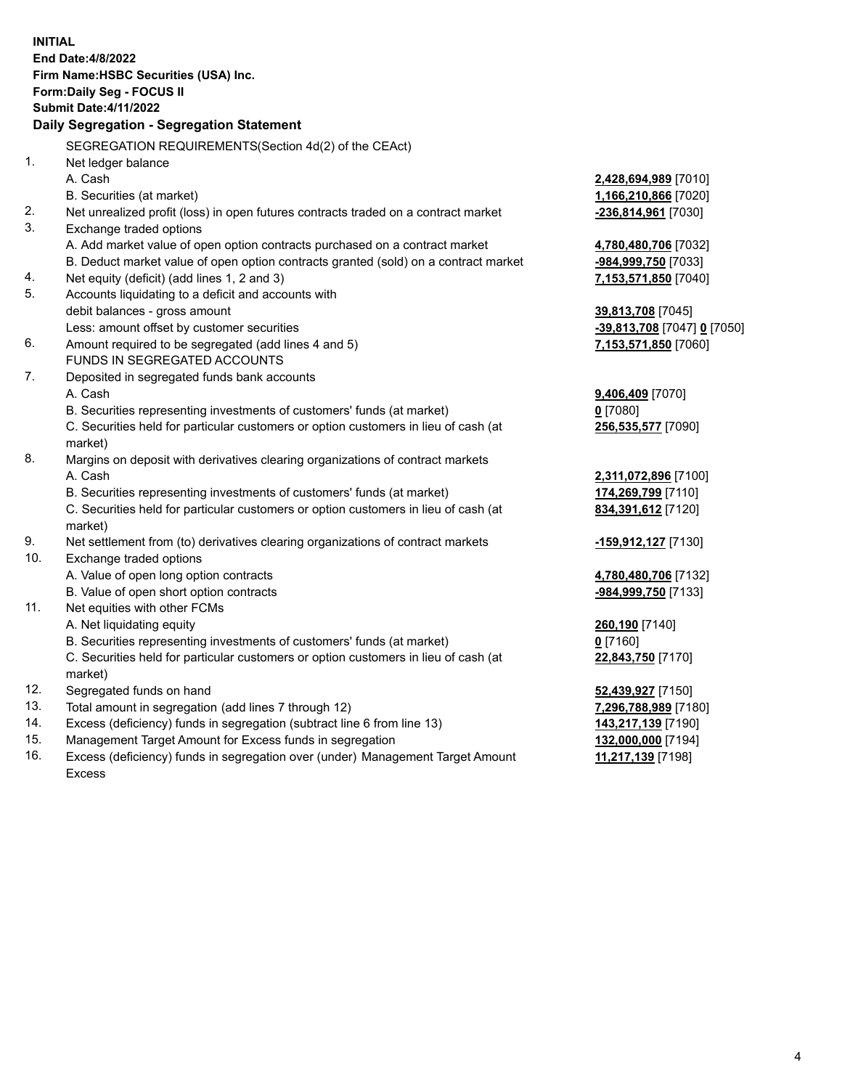| <b>INITIAL</b> | <b>End Date:4/8/2022</b><br>Firm Name: HSBC Securities (USA) Inc.<br>Form: Daily Seg - FOCUS II<br><b>Submit Date: 4/11/2022</b><br>Daily Segregation - Segregation Statement |                                           |
|----------------|-------------------------------------------------------------------------------------------------------------------------------------------------------------------------------|-------------------------------------------|
|                | SEGREGATION REQUIREMENTS(Section 4d(2) of the CEAct)                                                                                                                          |                                           |
| 1.             | Net ledger balance                                                                                                                                                            |                                           |
|                | A. Cash                                                                                                                                                                       | 2,428,694,989 [7010]                      |
|                | B. Securities (at market)                                                                                                                                                     | 1,166,210,866 [7020]                      |
| 2.             | Net unrealized profit (loss) in open futures contracts traded on a contract market                                                                                            | -236,814,961 [7030]                       |
| 3.             | Exchange traded options                                                                                                                                                       |                                           |
|                | A. Add market value of open option contracts purchased on a contract market                                                                                                   | 4,780,480,706 [7032]                      |
|                | B. Deduct market value of open option contracts granted (sold) on a contract market                                                                                           | -984,999,750 [7033]                       |
| 4.             | Net equity (deficit) (add lines 1, 2 and 3)                                                                                                                                   | 7,153,571,850 [7040]                      |
| 5.             | Accounts liquidating to a deficit and accounts with                                                                                                                           |                                           |
|                | debit balances - gross amount                                                                                                                                                 | 39,813,708 [7045]                         |
|                | Less: amount offset by customer securities                                                                                                                                    | <u>-39,813,708</u> [7047] <u>0</u> [7050] |
| 6.             | Amount required to be segregated (add lines 4 and 5)                                                                                                                          | 7,153,571,850 [7060]                      |
|                | FUNDS IN SEGREGATED ACCOUNTS                                                                                                                                                  |                                           |
| 7.             | Deposited in segregated funds bank accounts                                                                                                                                   |                                           |
|                | A. Cash                                                                                                                                                                       | 9,406,409 [7070]                          |
|                | B. Securities representing investments of customers' funds (at market)                                                                                                        | $0$ [7080]                                |
|                | C. Securities held for particular customers or option customers in lieu of cash (at<br>market)                                                                                | 256,535,577 [7090]                        |
| 8.             | Margins on deposit with derivatives clearing organizations of contract markets                                                                                                |                                           |
|                | A. Cash                                                                                                                                                                       | 2,311,072,896 [7100]                      |
|                | B. Securities representing investments of customers' funds (at market)                                                                                                        | 174,269,799 [7110]                        |
|                | C. Securities held for particular customers or option customers in lieu of cash (at<br>market)                                                                                | 834,391,612 [7120]                        |
| 9.             | Net settlement from (to) derivatives clearing organizations of contract markets                                                                                               | -159,912,127 [7130]                       |
| 10.            | Exchange traded options                                                                                                                                                       |                                           |
|                | A. Value of open long option contracts                                                                                                                                        | 4,780,480,706 [7132]                      |
|                | B. Value of open short option contracts                                                                                                                                       | -984,999,750 [7133]                       |
| 11.            | Net equities with other FCMs                                                                                                                                                  |                                           |
|                | A. Net liquidating equity                                                                                                                                                     | 260,190 [7140]                            |
|                | B. Securities representing investments of customers' funds (at market)                                                                                                        | $0$ [7160]                                |
|                | C. Securities held for particular customers or option customers in lieu of cash (at                                                                                           | 22,843,750 [7170]                         |
|                | market)                                                                                                                                                                       |                                           |
| 12.            | Segregated funds on hand                                                                                                                                                      | 52,439,927 [7150]                         |
| 13.            | Total amount in segregation (add lines 7 through 12)                                                                                                                          | 7,296,788,989 [7180]                      |
| 14.            | Excess (deficiency) funds in segregation (subtract line 6 from line 13)                                                                                                       | 143,217,139 [7190]                        |
| 15.            | Management Target Amount for Excess funds in segregation                                                                                                                      | 132,000,000 [7194]                        |

16. Excess (deficiency) funds in segregation over (under) Management Target Amount Excess

**11,217,139** [7198]